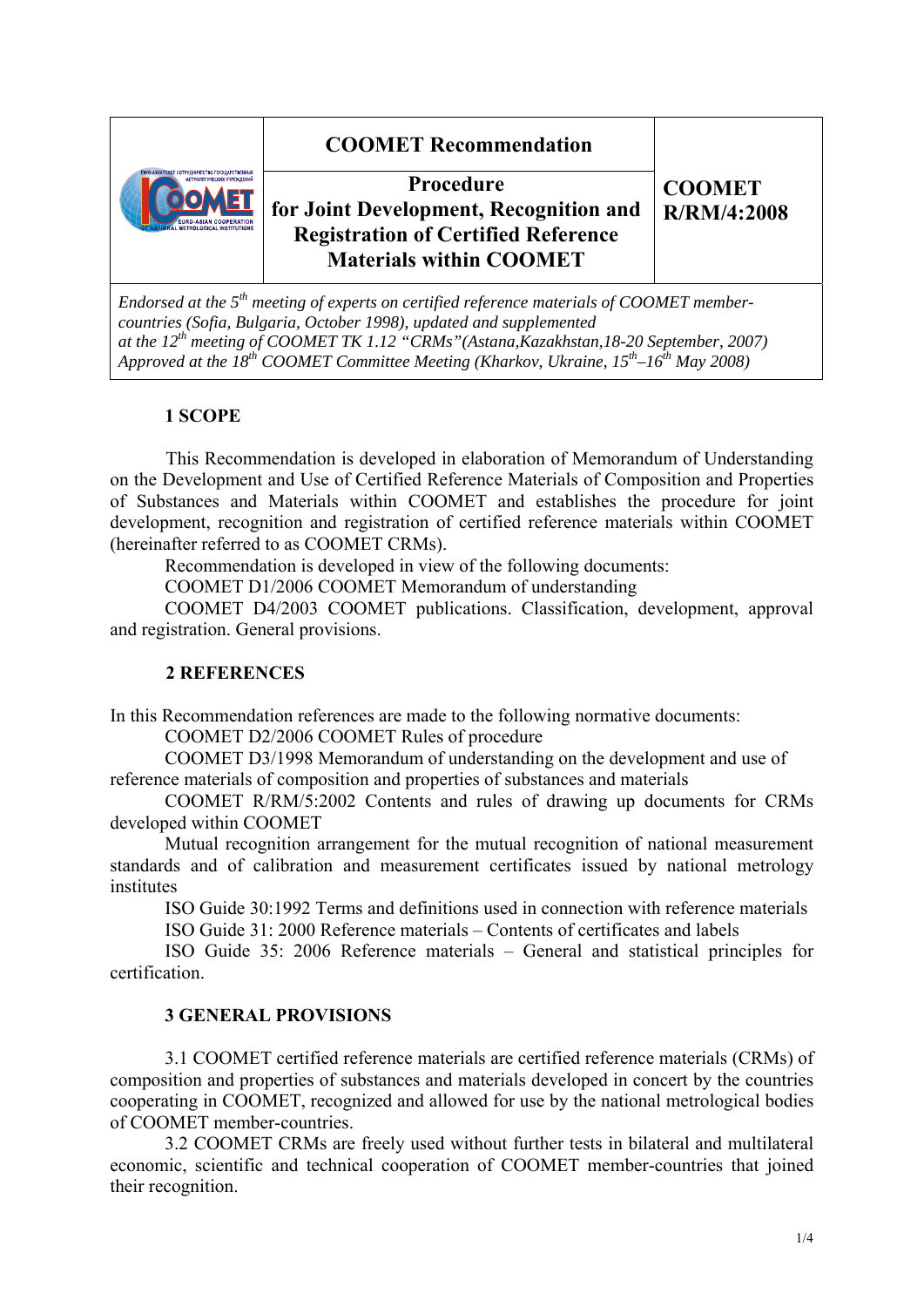## **COOMET Recommendation Procedure for Joint Development, Recognition and Registration of Certified Reference Materials within COOMET CООМЕТ R/RM/4:2008**

*Endorsed at the 5th meeting of experts on certified reference materials of COOMET membercountries (Sofia, Bulgaria, October 1998), updated and supplemented at the 12<sup>th</sup> meeting of COOMET TK 1.12 "CRMs"(Astana,Kazakhstan,18-20 September, 2007) Approved at the 18th COOMET Committee Meeting (Kharkov, Ukraine, 15th–16th May 2008)* 

### **1 SCOPE**

This Recommendation is developed in elaboration of Memorandum of Understanding on the Development and Use of Certified Reference Materials of Composition and Properties of Substances and Materials within COOMET and establishes the procedure for joint development, recognition and registration of certified reference materials within COOMET (hereinafter referred to as COOMET CRMs).

Recommendation is developed in view of the following documents:

COOMET D1/2006 COOMET Memorandum of understanding

 COOMET D4/2003 COOMET publications. Classification, development, approval and registration. General provisions.

## **2 REFERENCES**

In this Recommendation references are made to the following normative documents:

COOMET D2/2006 COOMET Rules of procedure

 COOMET D3/1998 Memorandum of understanding on the development and use of reference materials of composition and properties of substances and materials

 COOMET R/RM/5:2002 Contents and rules of drawing up documents for CRMs developed within COOMET

 Mutual recognition arrangement for the mutual recognition of national measurement standards and of calibration and measurement certificates issued by national metrology institutes

ISO Guide 30:1992 Terms and definitions used in connection with reference materials

ISO Guide 31: 2000 Reference materials – Contents of certificates and labels

 ISO Guide 35: 2006 Reference materials – General and statistical principles for certification.

#### **3 GENERAL PROVISIONS**

3.1 COOMET certified reference materials are certified reference materials (CRMs) of composition and properties of substances and materials developed in concert by the countries cooperating in COOMET, recognized and allowed for use by the national metrological bodies of COOMET member-countries.

3.2 COOMET CRMs are freely used without further tests in bilateral and multilateral economic, scientific and technical cooperation of COOMET member-countries that joined their recognition.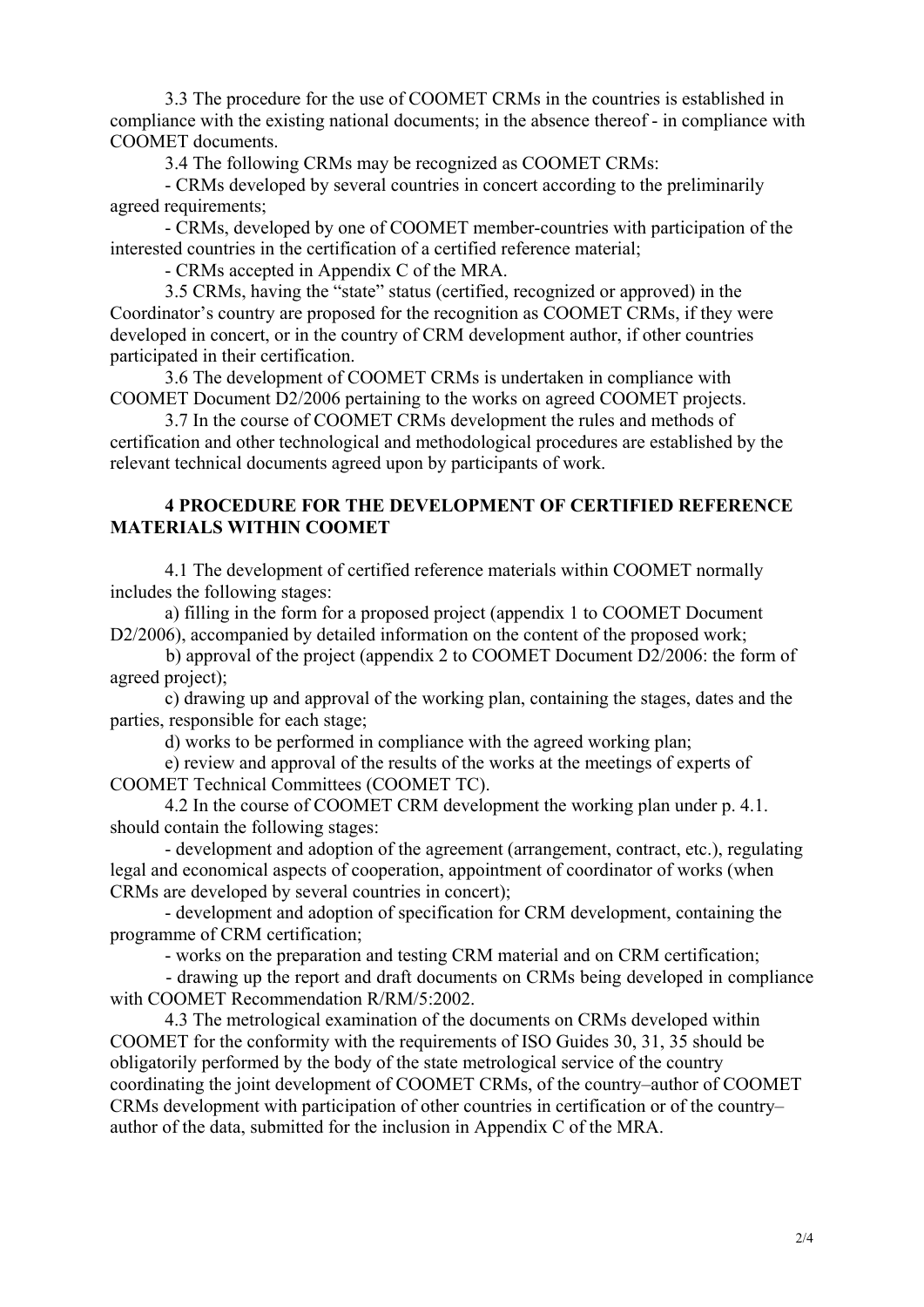3.3 The procedure for the use of COOMET CRMs in the countries is established in compliance with the existing national documents; in the absence thereof - in compliance with COOMET documents.

3.4 The following CRMs may be recognized as COOMET CRMs:

- CRMs developed by several countries in concert according to the preliminarily agreed requirements;

- CRMs, developed by one of COOMET member-countries with participation of the interested countries in the certification of a certified reference material;

- CRMs accepted in Appendix C of the MRA.

3.5 CRMs, having the "state" status (certified, recognized or approved) in the Coordinator's country are proposed for the recognition as COOMET CRMs, if they were developed in concert, or in the country of CRM development author, if other countries participated in their certification.

3.6 The development of COOMET CRMs is undertaken in compliance with COOMET Document D2/2006 pertaining to the works on agreed COOMET projects.

3.7 In the course of COOMET CRMs development the rules and methods of certification and other technological and methodological procedures are established by the relevant technical documents agreed upon by participants of work.

#### **4 PROCEDURE FOR THE DEVELOPMENT OF CERTIFIED REFERENCE MATERIALS WITHIN COOMET**

4.1 The development of certified reference materials within COOMET normally includes the following stages:

a) filling in the form for a proposed project (appendix 1 to COOMET Document D2/2006), accompanied by detailed information on the content of the proposed work;

b) approval of the project (appendix 2 to COOMET Document D2/2006: the form of agreed project);

c) drawing up and approval of the working plan, containing the stages, dates and the parties, responsible for each stage;

d) works to be performed in compliance with the agreed working plan;

e) review and approval of the results of the works at the meetings of experts of COOMET Technical Committees (COOMET TC).

4.2 In the course of COOMET CRM development the working plan under p. 4.1. should contain the following stages:

- development and adoption of the agreement (arrangement, contract, etc.), regulating legal and economical aspects of cooperation, appointment of coordinator of works (when CRMs are developed by several countries in concert);

- development and adoption of specification for CRM development, containing the programme of CRM certification;

- works on the preparation and testing CRM material and on CRM certification;

- drawing up the report and draft documents on CRMs being developed in compliance with COOMET Recommendation R/RM/5:2002.

4.3 The metrological examination of the documents on CRMs developed within COOMET for the conformity with the requirements of ISO Guides 30, 31, 35 should be obligatorily performed by the body of the state metrological service of the country coordinating the joint development of COOMET CRMs, оf the country–author of COOMET CRMs development with participation of other countries in certification or оf the country– author of the data, submitted for the inclusion in Appendix C of the MRA.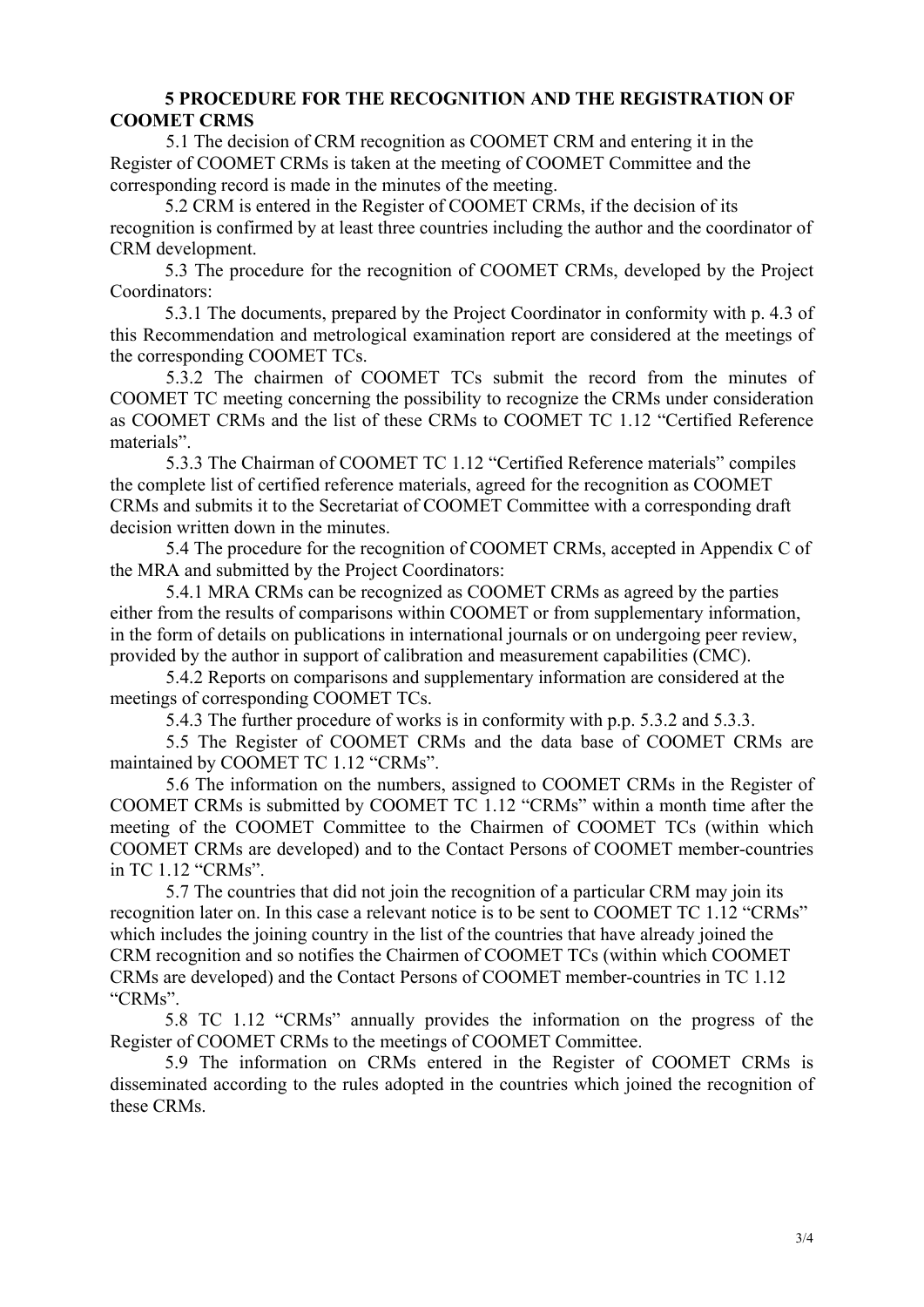#### **5 PROCEDURE FOR THE RECOGNITION AND THE REGISTRATION OF COOMET CRMS**

5.1 The decision of CRM recognition as COOMET CRM and entering it in the Register of COOMET CRMs is taken at the meeting of COOMET Committee and the corresponding record is made in the minutes of the meeting.

5.2 CRM is entered in the Register of COOMET CRMs, if the decision of its recognition is confirmed by at least three countries including the author and the coordinator of CRM development.

5.3 The procedure for the recognition of COOMET CRMs, developed by the Project Coordinators:

5.3.1 The documents, prepared by the Project Coordinator in conformity with p. 4.3 of this Recommendation and metrological examination report are considered at the meetings of the corresponding COOMET TCs.

5.3.2 The chairmen of COOMET TCs submit the record from the minutes of COOMET TC meeting concerning the possibility to recognize the CRMs under consideration as COOMET CRMs and the list of these CRMs to COOMET TC 1.12 "Certified Reference materials".

5.3.3 The Chairman of COOMET TC 1.12 "Certified Reference materials" compiles the complete list of certified reference materials, agreed for the recognition as COOMET CRMs and submits it to the Secretariat of COOMET Committee with a corresponding draft decision written down in the minutes.

5.4 The procedure for the recognition of COOMET CRMs, accepted in Appendix C of the MRA and submitted by the Project Coordinators:

5.4.1 MRA CRMs can be recognized as COOMET CRMs as agreed by the parties either from the results of comparisons within COOMET or from supplementary information, in the form of details on publications in international journals or on undergoing peer review, provided by the author in support of calibration and measurement capabilities (CMC).

5.4.2 Reports on comparisons and supplementary information are considered at the meetings of corresponding COOMET TCs.

5.4.3 The further procedure of works is in conformity with p.p. 5.3.2 and 5.3.3.

5.5 The Register of COOMET CRMs and the data base of COOMET CRMs are maintained by COOMET TC 1.12 "CRMs".

5.6 The information on the numbers, assigned to COOMET CRMs in the Register of COOMET CRMs is submitted by COOMET TC 1.12 "CRMs" within a month time after the meeting of the COOMET Committee to the Chairmen of COOMET TCs (within which COOMET CRMs are developed) and to the Contact Persons of COOMET member-countries in TC 1.12 "CRMs".

5.7 The countries that did not join the recognition of a particular CRM may join its recognition later on. In this case a relevant notice is to be sent to COOMET TC 1.12 "CRMs" which includes the joining country in the list of the countries that have already joined the CRM recognition and so notifies the Chairmen of COOMET TCs (within which COOMET CRMs are developed) and the Contact Persons of COOMET member-countries in TC 1.12 "CRMs".

5.8 TC 1.12 "CRMs" annually provides the information on the progress of the Register of COOMET CRMs to the meetings of COOMET Committee.

5.9 The information on CRMs entered in the Register of COOMET CRMs is disseminated according to the rules adopted in the countries which joined the recognition of these CRMs.